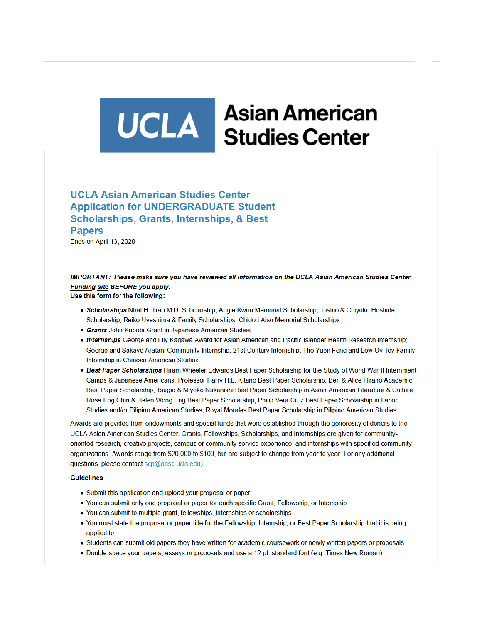# UCLA Studies Center **Asian American**

# **UCLA Asian American Studies Center Application for UNDERGRADUATE Student Scholarships, Grants, Internships, & Best Papers**

Ends on April 13, 2020

# IMPORTANT: Please make sure you have reviewed all information on the UCLA Asian American Studies Center Funding site BEFORE you apply.

Use this form for the following:

- Scholarships Nhat H. Tran M.D. Scholarship: Angie Kwon Memorial Scholarship: Toshio & Chivoko Hoshide Scholarship; Reiko Uyeshima & Family Scholarships; Chidori Aiso Memorial Scholarships
- Grants John Kubota Grant in Japanese American Studies
- . Internships George and Lily Kagawa Award for Asian American and Pacific Islander Health Research Internship; George and Sakaye Aratani Community Internship; 21st Century Internship; The Yuen Fong and Lew Oy Toy Family Internship in Chinese American Studies
- Best Paper Scholarships Hiram Wheeler Edwards Best Paper Scholarship for the Study of World War II Internment Camps & Japanese Americans; Professor Harry H.L. Kitano Best Paper Scholarship; Ben & Alice Hirano Academic Best Paper Scholarship; Tsugio & Miyoko Nakanishi Best Paper Scholarship in Asian American Literature & Culture; Rose Eng Chin & Helen Wong Eng Best Paper Scholarship; Philip Vera Cruz Best Paper Scholarship in Labor Studies and/or Pilipino American Studies; Royal Morales Best Paper Scholarship in Pilipino American Studies

Awards are provided from endowments and special funds that were established through the generosity of donors to the UCLA Asian American Studies Center. Grants, Fellowships, Scholarships, and Internships are given for communityoriented research, creative projects, campus or community service experience, and internships with specified community organizations. Awards range from \$20,000 to \$100, but are subject to change from year to year. For any additional questions, please contact scp@aasc.ucla.edu)

#### **Guidelines**

- Submit this application and upload your proposal or paper.
- You can submit only one proposal or paper for each specific Grant, Fellowship, or Internship.
- You can submit to multiple grant, fellowships, internships or scholarships.
- You must state the proposal or paper title for the Fellowship, Internship, or Best Paper Scholarship that it is being applied to.
- Students can submit old papers they have written for academic coursework or newly written papers or proposals.
- Double-space your papers, essays or proposals and use a 12-pt. standard font (e.g. Times New Roman).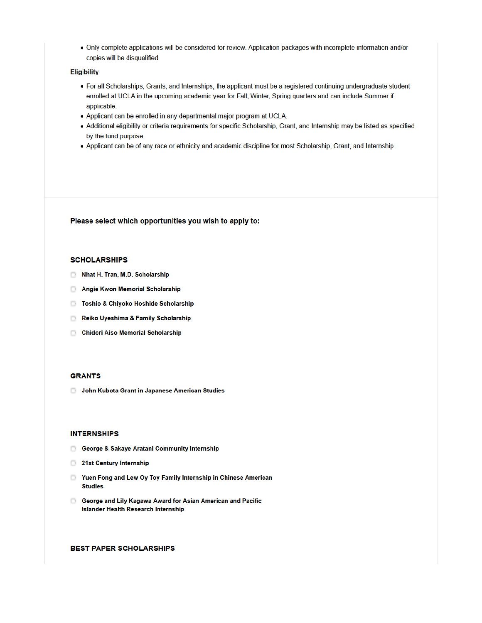. Only complete applications will be considered for review. Application packages with incomplete information and/or copies will be disqualified.

#### **Eligibility**

- For all Scholarships, Grants, and Internships, the applicant must be a registered continuing undergraduate student enrolled at UCLA in the upcoming academic year for Fall, Winter, Spring quarters and can include Summer if applicable.
- Applicant can be enrolled in any departmental major program at UCLA.
- · Additional eligibility or criteria requirements for specific Scholarship, Grant, and Internship may be listed as specified by the fund purpose.
- Applicant can be of any race or ethnicity and academic discipline for most Scholarship, Grant, and Internship.

Please select which opportunities you wish to apply to:

#### **SCHOLARSHIPS**

- Nhat H. Tran, M.D. Scholarship
- Angie Kwon Memorial Scholarship
- **D** Toshio & Chiyoko Hoshide Scholarship
- Reiko Uyeshima & Family Scholarship
- Chidori Aiso Memorial Scholarship

#### **GRANTS**

John Kubota Grant in Japanese American Studies

#### **INTERNSHIPS**

- George & Sakaye Aratani Community Internship
- 21st Century Internship
- Nuen Fong and Lew Oy Toy Family Internship in Chinese American **Studies**
- **B** George and Lily Kagawa Award for Asian American and Pacific **Islander Health Research Internship**

#### **BEST PAPER SCHOLARSHIPS**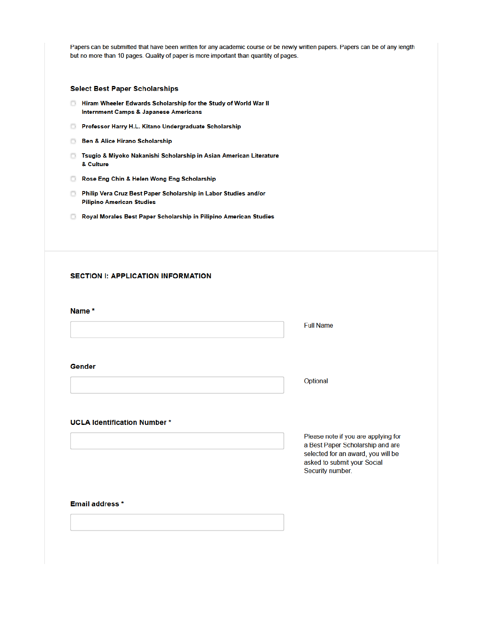Papers can be submitted that have been written for any academic course or be newly written papers. Papers can be of any length but no more than 10 pages. Quality of paper is more important than quantity of pages.

### **Select Best Paper Scholarships**

- **E** Hiram Wheeler Edwards Scholarship for the Study of World War II **Internment Camps & Japanese Americans**
- Professor Harry H.L. Kitano Undergraduate Scholarship
- **Ben & Alice Hirano Scholarship**
- **D** Tsugio & Miyoko Nakanishi Scholarship in Asian American Literature & Culture
- Rose Eng Chin & Helen Wong Eng Scholarship
- Philip Vera Cruz Best Paper Scholarship in Labor Studies and/or **Pilipino American Studies**
- Royal Morales Best Paper Scholarship in Pilipino American Studies

# **SECTION I: APPLICATION INFORMATION**

#### Name \*

**Full Name** 

#### Gender

Optional

#### **UCLA Identification Number\***

Please note if you are applying for a Best Paper Scholarship and are selected for an award, you will be asked to submit your Social Security number.

#### **Email address \***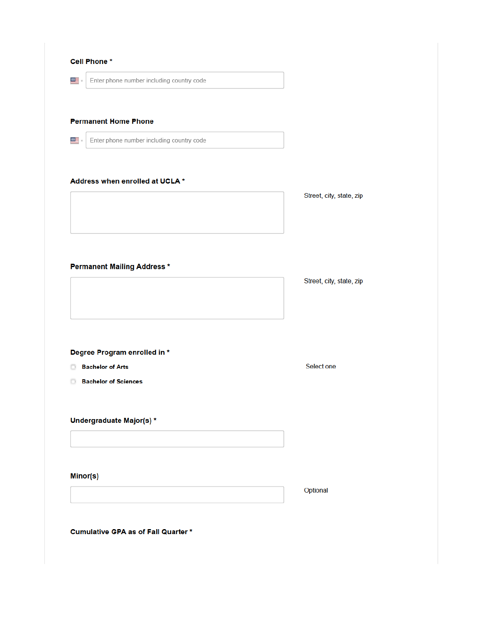| ▓≣.                 | Enter phone number including country code |                          |
|---------------------|-------------------------------------------|--------------------------|
|                     |                                           |                          |
|                     | <b>Permanent Home Phone</b>               |                          |
|                     |                                           |                          |
| $\frac{3000}{2000}$ | Enter phone number including country code |                          |
|                     |                                           |                          |
|                     | Address when enrolled at UCLA *           |                          |
|                     |                                           | Street, city, state, zip |
|                     |                                           |                          |
|                     |                                           |                          |
|                     |                                           |                          |
|                     |                                           |                          |
|                     | <b>Permanent Mailing Address *</b>        |                          |
|                     |                                           | Street, city, state, zip |
|                     |                                           |                          |
|                     |                                           |                          |
|                     |                                           |                          |
|                     |                                           |                          |
|                     | Degree Program enrolled in *              |                          |
|                     | <b>Bachelor of Arts</b>                   | Select one               |
| D                   | <b>Bachelor of Sciences</b>               |                          |
|                     |                                           |                          |
|                     |                                           |                          |
|                     | Undergraduate Major(s) *                  |                          |
|                     |                                           |                          |
|                     |                                           |                          |
|                     | Minor(s)                                  |                          |
|                     |                                           | Optional                 |
|                     |                                           |                          |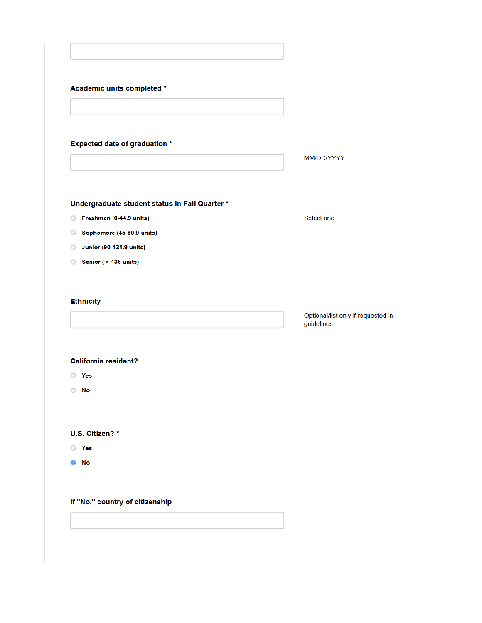| Academic units completed * |  |
|----------------------------|--|
|----------------------------|--|

# **Expected date of graduation \***

MM/DD/YYYY

Select one

# Undergraduate student status in Fall Quarter \*

- Freshman (0-44.9 units)
- Sophomore (45-89.9 units)
- Junior (90-134.9 units)
- Senior (> 135 units)

## **Ethnicity**

Optional/list only if requested in guidelines

# **California resident?**

- **O** Yes
- $\odot$  No

U.S. Citizen?\*

**O** Yes

 $\bullet$  No

# If "No," country of citizenship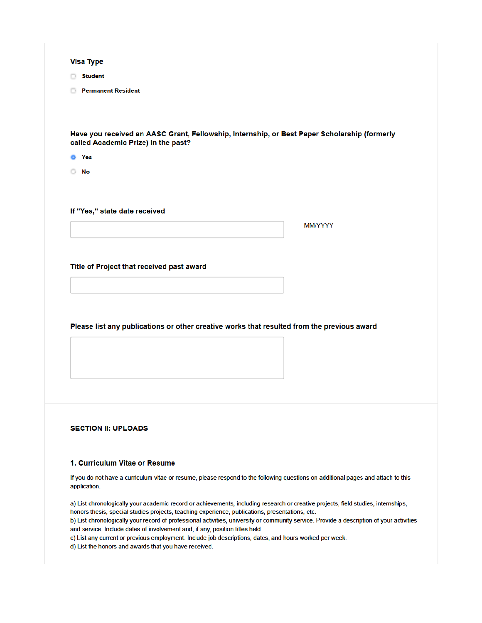#### **Visa Type**

- **Student**
- **Permanent Resident**

Have you received an AASC Grant, Fellowship, Internship, or Best Paper Scholarship (formerly called Academic Prize) in the past?

- **O** Yes
- **D** No

If "Yes," state date received

MM/YYYY

#### Title of Project that received past award

Please list any publications or other creative works that resulted from the previous award

## **SECTION II: UPLOADS**

#### 1. Curriculum Vitae or Resume

If you do not have a curriculum vitae or resume, please respond to the following questions on additional pages and attach to this application.

a) List chronologically your academic record or achievements, including research or creative projects, field studies, internships, honors thesis, special studies projects, teaching experience, publications, presentations, etc.

b) List chronologically your record of professional activities, university or community service. Provide a description of your activities and service. Include dates of involvement and, if any, position titles held.

c) List any current or previous employment. Include job descriptions, dates, and hours worked per week.

d) List the honors and awards that you have received.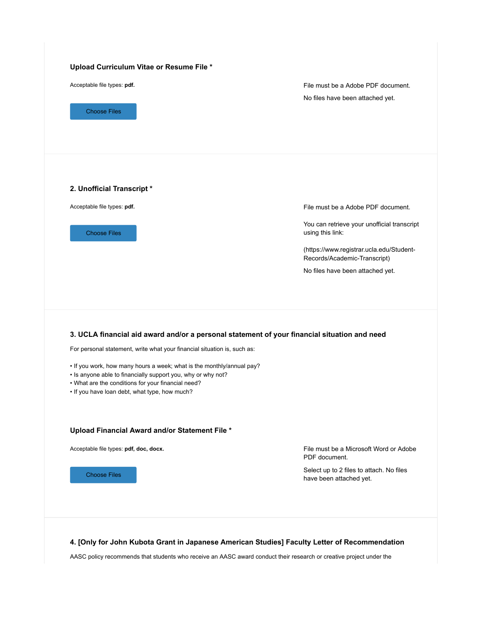| <b>Choose Files</b>                                                                                                                                                                                                                                                                                                                                                                                                      | File must be a Adobe PDF document.<br>No files have been attached yet.                              |
|--------------------------------------------------------------------------------------------------------------------------------------------------------------------------------------------------------------------------------------------------------------------------------------------------------------------------------------------------------------------------------------------------------------------------|-----------------------------------------------------------------------------------------------------|
| 2. Unofficial Transcript *                                                                                                                                                                                                                                                                                                                                                                                               |                                                                                                     |
| Acceptable file types: pdf.                                                                                                                                                                                                                                                                                                                                                                                              | File must be a Adobe PDF document.                                                                  |
| <b>Choose Files</b>                                                                                                                                                                                                                                                                                                                                                                                                      | You can retrieve your unofficial transcript<br>using this link:                                     |
|                                                                                                                                                                                                                                                                                                                                                                                                                          | (https://www.registrar.ucla.edu/Student-<br>Records/Academic-Transcript)                            |
|                                                                                                                                                                                                                                                                                                                                                                                                                          | No files have been attached yet.                                                                    |
| 3. UCLA financial aid award and/or a personal statement of your financial situation and need<br>For personal statement, write what your financial situation is, such as:<br>. If you work, how many hours a week; what is the monthly/annual pay?<br>• Is anyone able to financially support you, why or why not?<br>• What are the conditions for your financial need?<br>. If you have loan debt, what type, how much? |                                                                                                     |
|                                                                                                                                                                                                                                                                                                                                                                                                                          |                                                                                                     |
| Upload Financial Award and/or Statement File *                                                                                                                                                                                                                                                                                                                                                                           |                                                                                                     |
| Acceptable file types: pdf, doc, docx.                                                                                                                                                                                                                                                                                                                                                                                   | File must be a Microsoft Word or Adobe<br>PDF document.<br>Select up to 2 files to attach. No files |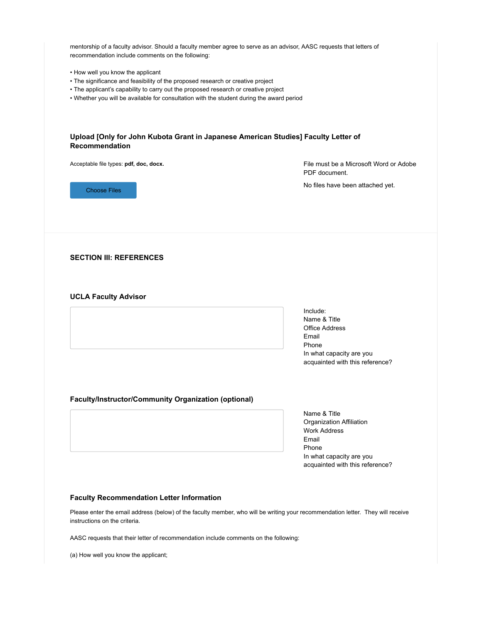mentorship of a faculty advisor. Should a faculty member agree to serve as an advisor, AASC requests that letters of recommendation include comments on the following:

- How well you know the applicant
- The significance and feasibility of the proposed research or creative project
- The applicant's capability to carry out the proposed research or creative project
- Whether you will be available for consultation with the student during the award period

| Acceptable file types: pdf, doc, docx.               | File must be a Microsoft Word or Adobe<br>PDF document.     |
|------------------------------------------------------|-------------------------------------------------------------|
| <b>Choose Files</b>                                  | No files have been attached yet.                            |
| <b>SECTION III: REFERENCES</b>                       |                                                             |
| <b>UCLA Faculty Advisor</b>                          |                                                             |
|                                                      | Include:<br>Name & Title<br><b>Office Address</b>           |
|                                                      | Email<br>Phone                                              |
|                                                      | In what capacity are you<br>acquainted with this reference? |
| Faculty/Instructor/Community Organization (optional) |                                                             |
|                                                      | Name & Title<br>Organization Affiliation                    |
|                                                      | <b>Work Address</b>                                         |
|                                                      |                                                             |
|                                                      | Email<br>Phone<br>In what capacity are you                  |

Please enter the email address (below) of the faculty member, who will be writing your recommendation letter. They will receive instructions on the criteria.

AASC requests that their letter of recommendation include comments on the following:

(a) How well you know the applicant;